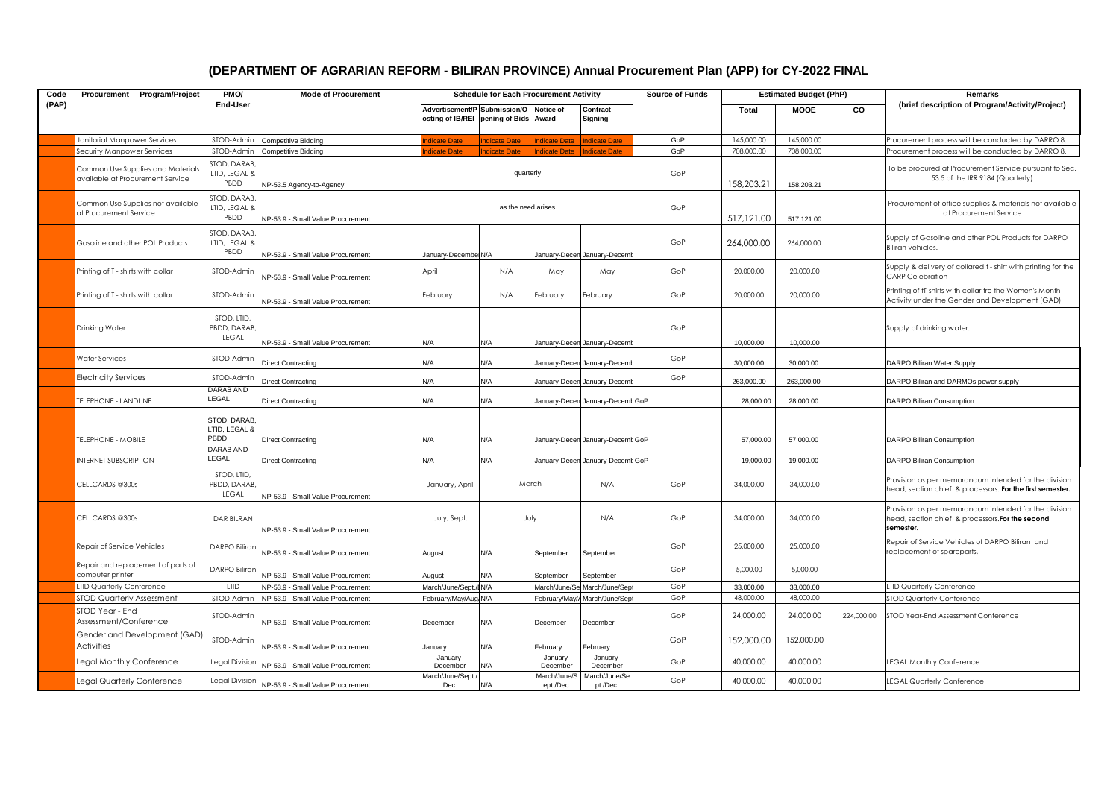## **(DEPARTMENT OF AGRARIAN REFORM - BILIRAN PROVINCE) Annual Procurement Plan (APP) for CY-2022 FINAL**

| Code  | Procurement Program/Project                                           | PMO/                                  | <b>Mode of Procurement</b>        | <b>Schedule for Each Procurement Activity</b>                                   |                      |                           |                                  | <b>Source of Funds</b> | <b>Estimated Budget (PhP)</b> |             |            | Remarks                                                                                                                |
|-------|-----------------------------------------------------------------------|---------------------------------------|-----------------------------------|---------------------------------------------------------------------------------|----------------------|---------------------------|----------------------------------|------------------------|-------------------------------|-------------|------------|------------------------------------------------------------------------------------------------------------------------|
| (PAP) |                                                                       | End-User                              |                                   | Advertisement/P Submission/O Notice of<br>osting of IB/REI pening of Bids Award |                      |                           | Contract<br>Signing              |                        | <b>Total</b>                  | <b>MOOE</b> | CO         | (brief description of Program/Activity/Project)                                                                        |
|       | Janitorial Manpower Services                                          | STOD-Admin                            | <b>Competitive Bidding</b>        | <b>ndicate Date</b>                                                             | <b>Indicate Date</b> | <b>Indicate Date</b>      | Indicate Date                    | GoP                    | 145,000,00                    | 145,000.00  |            | Procurement process will be conducted by DARRO 8.                                                                      |
|       | Security Manpower Services                                            | STOD-Admin                            | Competitive Bidding               | dicate Date                                                                     | <b>Indicate Date</b> | <b>Indicate Date</b>      | ndicate Date                     | GoP                    | 708,000.00                    | 708,000.00  |            | Procurement process will be conducted by DARRO 8.                                                                      |
|       | Common Use Supplies and Materials<br>available at Procurement Service | STOD, DARAB<br>LTID, LEGAL &<br>PBDD  | NP-53.5 Agency-to-Agency          |                                                                                 | quarterly            |                           |                                  | GoP                    | 158,203.21                    | 158,203.21  |            | To be procured at Procurement Service pursuant to Sec.<br>53.5 of the IRR 9184 (Quarterly)                             |
|       | Common Use Supplies not available<br>at Procurement Service           | STOD, DARAB<br>LTID, LEGAL &<br>PBDD  | NP-53.9 - Small Value Procurement | as the need arises                                                              |                      |                           |                                  | GoP                    | 517,121.00                    | 517,121.00  |            | Procurement of office supplies & materials not available<br>at Procurement Service                                     |
|       | Gasoline and other POL Products                                       | STOD, DARAB<br>LTID, LEGAL &<br>PBDD  | NP-53.9 - Small Value Procurement | January-Decembe N/A                                                             |                      |                           | January-Decen January-Decen      | GoP                    | 264,000.00                    | 264,000.00  |            | Supply of Gasoline and other POL Products for DARPO<br>Biliran vehicles.                                               |
|       | Printing of T - shirts with collar                                    | STOD-Admin                            | NP-53.9 - Small Value Procurement | April                                                                           | N/A                  | May                       | May                              | GoP                    | 20,000.00                     | 20,000,00   |            | Supply & delivery of collared t - shirt with printing for the<br><b>CARP Celebration</b>                               |
|       | Printing of T - shirts with collar                                    | STOD-Admin                            | NP-53.9 - Small Value Procurement | February                                                                        | N/A                  | February                  | February                         | GoP                    | 20,000.00                     | 20,000.00   |            | Printing of tT-shirts with collar fro the Women's Month<br>Activity under the Gender and Development (GAD)             |
|       | <b>Drinking Water</b>                                                 | STOD, LTID,<br>PBDD, DARAB<br>LEGAL   | NP-53.9 - Small Value Procurement | N/A                                                                             | N/A                  |                           | January-Decen January-Decem      | GoP                    | 10,000.00                     | 10,000.00   |            | Supply of drinking water.                                                                                              |
|       | Water Services                                                        | STOD-Admin                            | <b>Direct Contracting</b>         | N/A                                                                             | N/A                  |                           | January-Decen January-Decen      | GoP                    | 30,000.00                     | 30,000.00   |            | DARPO Biliran Water Supply                                                                                             |
|       | <b>Electricity Services</b>                                           | STOD-Admin                            | Direct Contracting                | N/A                                                                             | N/A                  |                           | January-Decen January-Decem      | GoP                    | 263,000.00                    | 263,000.00  |            | DARPO Biliran and DARMOs power supply                                                                                  |
|       | <b>FELEPHONE - LANDLINE</b>                                           | DARAB AND<br>LEGAL                    | <b>Direct Contracting</b>         | N/A                                                                             | N/A                  |                           | January-Decen January-Decemt GoP |                        | 28,000.00                     | 28,000.00   |            | DARPO Biliran Consumption                                                                                              |
|       | <b>TELEPHONE - MOBILE</b>                                             | STOD, DARAB,<br>LTID. LEGAL &<br>PBDD | <b>Direct Contracting</b>         | N/A                                                                             | N/A                  |                           | January-Decen January-Decemt GoP |                        | 57,000.00                     | 57,000.00   |            | DARPO Biliran Consumption                                                                                              |
|       | <b>INTERNET SUBSCRIPTION</b>                                          | DARAB AND<br>LEGAL                    | <b>Direct Contracting</b>         | N/A                                                                             | N/A                  |                           | January-Decen January-Decemt GoP |                        | 19,000.00                     | 19,000.00   |            | <b>DARPO Biliran Consumption</b>                                                                                       |
|       | CELLCARDS @300s                                                       | STOD, LTID,<br>PBDD, DARAB<br>LEGAL   | NP-53.9 - Small Value Procurement | January, April                                                                  | March                |                           | N/A                              | GoP                    | 34,000.00                     | 34,000.00   |            | Provision as per memorandum intended for the division<br>head, section chief & processors. For the first semester.     |
|       | CELLCARDS @300s                                                       | <b>DAR BILRAN</b>                     | NP-53.9 - Small Value Procurement | July, Sept.                                                                     | July                 |                           | N/A                              | GoP                    | 34,000.00                     | 34,000.00   |            | Provision as per memorandum intended for the division<br>head, section chief & processors. For the second<br>semester. |
|       | Repair of Service Vehicles                                            | DARPO Biliran                         | NP-53.9 - Small Value Procurement | August                                                                          | N/A                  | September                 | September                        | GoP                    | 25,000.00                     | 25,000.00   |            | Repair of Service Vehicles of DARPO Biliran and<br>replacement of spareparts,                                          |
|       | Repair and replacement of parts of<br>computer printer                | DARPO Biliran                         | NP-53.9 - Small Value Procurement | August                                                                          | N/A                  | September                 | September                        | GoP                    | 5,000.00                      | 5,000.00    |            |                                                                                                                        |
|       | <b>.TID Quarterly Conference</b>                                      | LTID                                  | NP-53.9 - Small Value Procurement | March/June/Sept.,                                                               | IN/A                 |                           | March/June/Se March/June/Sep     | GoP                    | 33,000.00                     | 33,000.00   |            | <b>IID Quarterly Conference</b>                                                                                        |
|       | <b>STOD Quarterly Assessment</b>                                      | STOD-Admin                            | NP-53.9 - Small Value Procurement | February/May/Aug                                                                | N/A                  | February/May/             | March/June/Sep                   | GoP                    | 48,000.00                     | 48,000.00   |            | STOD Quarterly Conference                                                                                              |
|       | STOD Year - End<br>Assessment/Conference                              | STOD-Admin                            | NP-53.9 - Small Value Procurement | December                                                                        | N/A                  | December                  | December                         | GoP                    | 24,000.00                     | 24,000.00   | 224,000.00 | STOD Year-End Assessment Conference                                                                                    |
|       | Gender and Development (GAD)<br>Activities                            | STOD-Admin                            | NP-53.9 - Small Value Procurement | January                                                                         | N/A                  | February                  | February                         | GoP                    | 152,000.00                    | 152,000.00  |            |                                                                                                                        |
|       | Legal Monthly Conference                                              | Legal Division                        | NP-53.9 - Small Value Procurement | January-<br>December                                                            | N/A                  | January-<br>December      | January-<br>December             | GoP                    | 40,000.00                     | 40,000.00   |            | <b>EGAL Monthly Conference</b>                                                                                         |
|       | Legal Quarterly Conference                                            | Legal Division                        | NP-53.9 - Small Value Procurement | March/June/Sept.<br>Dec.                                                        | N/A                  | March/June/S<br>ept./Dec. | March/June/Se<br>pt./Dec.        | GoP                    | 40,000.00                     | 40,000.00   |            | LEGAL Quarterly Conference                                                                                             |